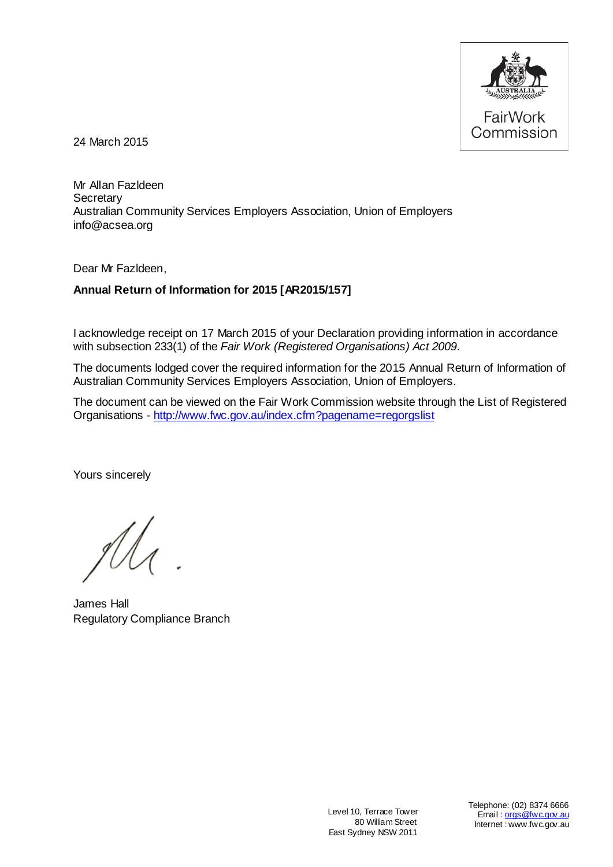

24 March 2015

Mr Allan Fazldeen **Secretary** Australian Community Services Employers Association, Union of Employers info@acsea.org

Dear Mr Fazldeen,

# **Annual Return of Information for 2015 [AR2015/157]**

I acknowledge receipt on 17 March 2015 of your Declaration providing information in accordance with subsection 233(1) of the *Fair Work (Registered Organisations) Act 2009*.

The documents lodged cover the required information for the 2015 Annual Return of Information of Australian Community Services Employers Association, Union of Employers.

The document can be viewed on the Fair Work Commission website through the List of Registered Organisations - <http://www.fwc.gov.au/index.cfm?pagename=regorgslist>

Yours sincerely

James Hall Regulatory Compliance Branch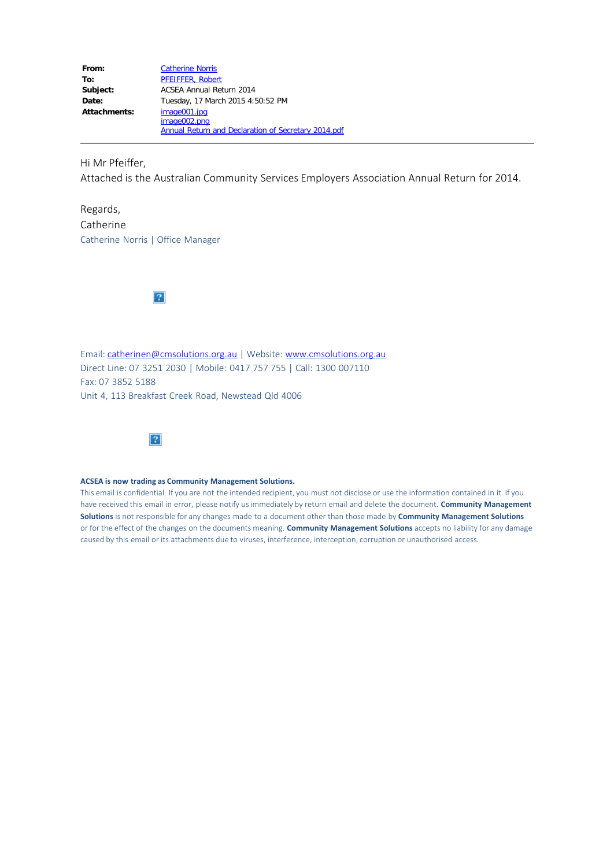| From:               | <b>Catherine Norris</b>                                    |  |  |  |  |
|---------------------|------------------------------------------------------------|--|--|--|--|
| To:                 | <b>PFEIFFER, Robert</b>                                    |  |  |  |  |
| Subject:            | ACSEA Annual Return 2014                                   |  |  |  |  |
| Date:               | Tuesday, 17 March 2015 4:50:52 PM                          |  |  |  |  |
| <b>Attachments:</b> | image001.jpg                                               |  |  |  |  |
|                     | image002.png                                               |  |  |  |  |
|                     | <b>Annual Return and Declaration of Secretary 2014.pdf</b> |  |  |  |  |

Hi Mr Pfeiffer,

Attached is the Australian Community Services Employers Association Annual Return for 2014.

Regards, Catherine Catherine Norris | Office Manager



Email: [catherinen@cmsolutions.org.au](mailto:catherinen@cmsolutions.org.au) | Website: [www.cmsolutions.org.au](http://www.cmsolutions.org.au/) Direct Line: 07 3251 2030 | Mobile: 0417 757 755 | Call: 1300 007110 Fax: 07 3852 5188 Unit 4, 113 Breakfast Creek Road, Newstead Qld 4006



#### **ACSEA is now trading as Community Management Solutions.**

This email is confidential. If you are not the intended recipient, you must not disclose or use the information contained in it. If you have received this email in error, please notify us immediately by return email and delete the document. **Community Management Solutions** is not responsible for any changes made to a document other than those made by **Community Management Solutions** or for the effect of the changes on the documents meaning. **Community Management Solutions** accepts no liability for any damage caused by this email or its attachments due to viruses, interference, interception, corruption or unauthorised access.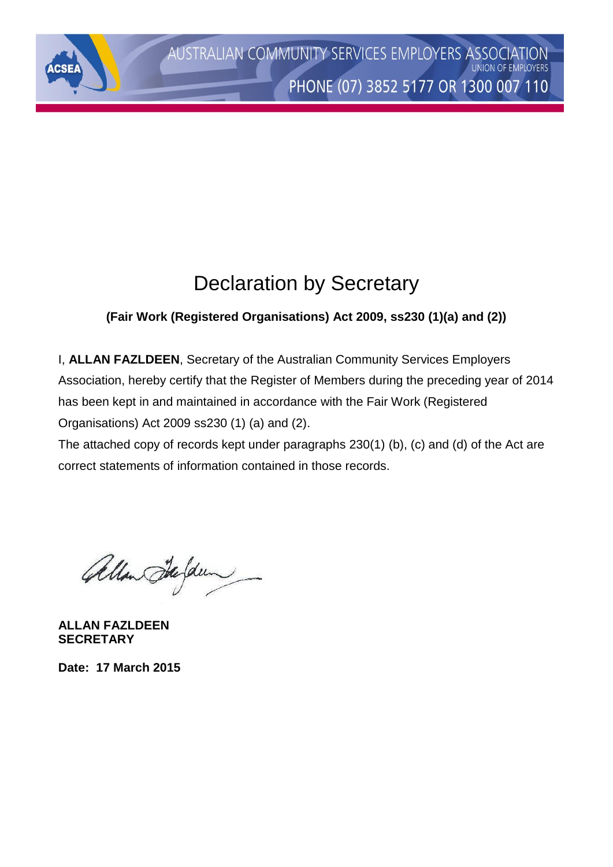# Declaration by Secretary

# **(Fair Work (Registered Organisations) Act 2009, ss230 (1)(a) and (2))**

I, **ALLAN FAZLDEEN**, Secretary of the Australian Community Services Employers Association, hereby certify that the Register of Members during the preceding year of 2014 has been kept in and maintained in accordance with the Fair Work (Registered Organisations) Act 2009 ss230 (1) (a) and (2).

The attached copy of records kept under paragraphs 230(1) (b), (c) and (d) of the Act are correct statements of information contained in those records.

Allan Stefden

**ALLAN FAZLDEEN SECRETARY**

**ASE** 

**Date: 17 March 2015**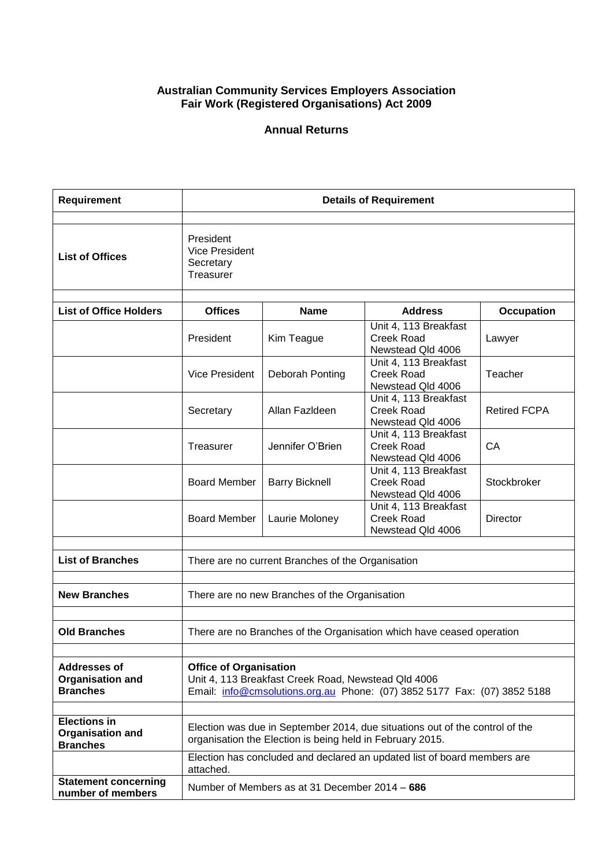### **Australian Community Services Employers Association Fair Work (Registered Organisations) Act 2009**

## **Annual Returns**

| Requirement                                                       | <b>Details of Requirement</b>                                                                                                                                    |                                                                                                                                       |                                                                 |                     |  |  |  |
|-------------------------------------------------------------------|------------------------------------------------------------------------------------------------------------------------------------------------------------------|---------------------------------------------------------------------------------------------------------------------------------------|-----------------------------------------------------------------|---------------------|--|--|--|
| <b>List of Offices</b>                                            | President<br><b>Vice President</b><br>Secretary<br>Treasurer                                                                                                     |                                                                                                                                       |                                                                 |                     |  |  |  |
| <b>List of Office Holders</b>                                     | <b>Offices</b>                                                                                                                                                   | <b>Name</b>                                                                                                                           | <b>Address</b>                                                  | <b>Occupation</b>   |  |  |  |
|                                                                   | President                                                                                                                                                        | Kim Teague                                                                                                                            | Unit 4, 113 Breakfast<br><b>Creek Road</b><br>Newstead Qld 4006 | Lawyer              |  |  |  |
|                                                                   | <b>Vice President</b>                                                                                                                                            | Deborah Ponting                                                                                                                       | Unit 4, 113 Breakfast<br><b>Creek Road</b><br>Newstead Qld 4006 | Teacher             |  |  |  |
|                                                                   | Secretary                                                                                                                                                        | Allan Fazldeen                                                                                                                        | Unit 4, 113 Breakfast<br><b>Creek Road</b><br>Newstead Qld 4006 | <b>Retired FCPA</b> |  |  |  |
|                                                                   | Treasurer                                                                                                                                                        | Jennifer O'Brien                                                                                                                      | Unit 4, 113 Breakfast<br><b>Creek Road</b><br>Newstead Qld 4006 | CA                  |  |  |  |
|                                                                   | <b>Board Member</b>                                                                                                                                              | <b>Barry Bicknell</b>                                                                                                                 | Unit 4, 113 Breakfast<br><b>Creek Road</b><br>Newstead Qld 4006 | Stockbroker         |  |  |  |
|                                                                   | <b>Board Member</b>                                                                                                                                              | Laurie Moloney                                                                                                                        | Unit 4, 113 Breakfast<br><b>Creek Road</b><br>Newstead Qld 4006 | Director            |  |  |  |
| <b>List of Branches</b>                                           | There are no current Branches of the Organisation                                                                                                                |                                                                                                                                       |                                                                 |                     |  |  |  |
| <b>New Branches</b>                                               |                                                                                                                                                                  |                                                                                                                                       |                                                                 |                     |  |  |  |
|                                                                   |                                                                                                                                                                  | There are no new Branches of the Organisation                                                                                         |                                                                 |                     |  |  |  |
| <b>Old Branches</b>                                               |                                                                                                                                                                  | There are no Branches of the Organisation which have ceased operation                                                                 |                                                                 |                     |  |  |  |
| <b>Addresses of</b><br><b>Organisation and</b><br><b>Branches</b> | <b>Office of Organisation</b><br>Unit 4, 113 Breakfast Creek Road, Newstead Qld 4006<br>Email: info@cmsolutions.org.au Phone: (07) 3852 5177 Fax: (07) 3852 5188 |                                                                                                                                       |                                                                 |                     |  |  |  |
| <b>Elections in</b><br><b>Organisation and</b>                    |                                                                                                                                                                  | Election was due in September 2014, due situations out of the control of the                                                          |                                                                 |                     |  |  |  |
| <b>Branches</b>                                                   |                                                                                                                                                                  | organisation the Election is being held in February 2015.<br>Election has concluded and declared an updated list of board members are |                                                                 |                     |  |  |  |
|                                                                   | attached.                                                                                                                                                        |                                                                                                                                       |                                                                 |                     |  |  |  |
| <b>Statement concerning</b><br>number of members                  | Number of Members as at 31 December 2014 - 686                                                                                                                   |                                                                                                                                       |                                                                 |                     |  |  |  |